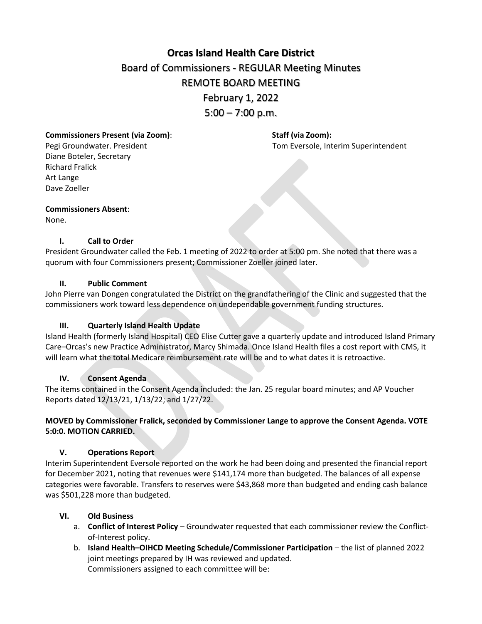# **[Orcas Island Health Care District](https://docs.google.com/document/d/1Ry8pgZ_nPvvmr9hj0f-9LE0fctWbFRHEpPoSe_gNVRw/edit?usp=sharing)** Board of Commissioners - REGULAR Meeting Minutes REMOTE BOARD MEETING February 1, 2022  $5:00 - 7:00$  p.m.

# **Commissioners Present (via Zoom)**: **Staff (via Zoom):**

Diane Boteler, Secretary Richard Fralick Art Lange Dave Zoeller

Pegi Groundwater. President Tom Eversole, Interim Superintendent

## **Commissioners Absent**:

None.

# **I. Call to Order**

President Groundwater called the Feb. 1 meeting of 2022 to order at 5:00 pm. She noted that there was a quorum with four Commissioners present; Commissioner Zoeller joined later.

# **II. Public Comment**

John Pierre van Dongen congratulated the District on the grandfathering of the Clinic and suggested that the commissioners work toward less dependence on undependable government funding structures.

# **III. Quarterly Island Health Update**

Island Health (formerly Island Hospital) CEO Elise Cutter gave a quarterly update and introduced Island Primary Care–Orcas's new Practice Administrator, Marcy Shimada. Once Island Health files a cost report with CMS, it will learn what the total Medicare reimbursement rate will be and to what dates it is retroactive.

## **IV. Consent Agenda**

The items contained in the Consent Agenda included: the Jan. 25 regular board minutes; and AP Voucher Reports dated 12/13/21, 1/13/22; and 1/27/22.

# **MOVED by Commissioner Fralick, seconded by Commissioner Lange to approve the Consent Agenda. VOTE 5:0:0. MOTION CARRIED.**

# **V. Operations Report**

Interim Superintendent Eversole reported on the work he had been doing and presented the financial report for December 2021, noting that revenues were \$141,174 more than budgeted. The balances of all expense categories were favorable. Transfers to reserves were \$43,868 more than budgeted and ending cash balance was \$501,228 more than budgeted.

# **VI. Old Business**

- a. **Conflict of Interest Policy** Groundwater requested that each commissioner review the Conflictof-Interest policy.
- b. **Island Health–OIHCD Meeting Schedule/Commissioner Participation** the list of planned 2022 joint meetings prepared by IH was reviewed and updated. Commissioners assigned to each committee will be: